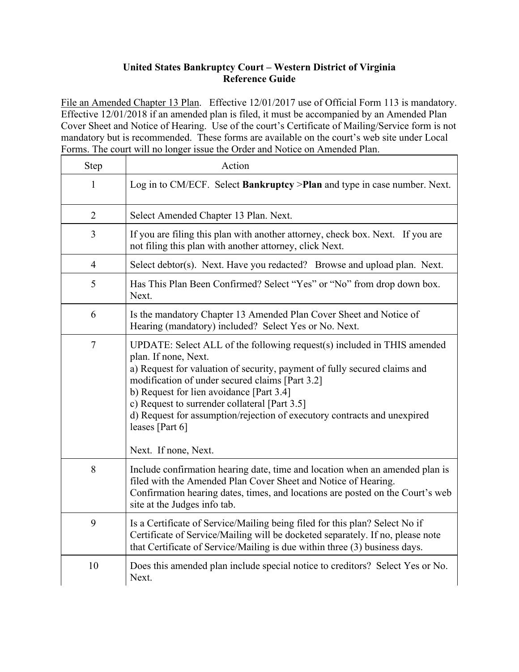## **United States Bankruptcy Court – Western District of Virginia Reference Guide**

File an Amended Chapter 13 Plan. Effective 12/01/2017 use of Official Form 113 is mandatory. Effective 12/01/2018 if an amended plan is filed, it must be accompanied by an Amended Plan Cover Sheet and Notice of Hearing. Use of the court's Certificate of Mailing/Service form is not mandatory but is recommended. These forms are available on the court's web site under Local Forms. The court will no longer issue the Order and Notice on Amended Plan.

| Step           | Action                                                                                                                                                                                                                                                                                                                                                                                                                                              |
|----------------|-----------------------------------------------------------------------------------------------------------------------------------------------------------------------------------------------------------------------------------------------------------------------------------------------------------------------------------------------------------------------------------------------------------------------------------------------------|
| 1              | Log in to CM/ECF. Select Bankruptcy > Plan and type in case number. Next.                                                                                                                                                                                                                                                                                                                                                                           |
| $\overline{2}$ | Select Amended Chapter 13 Plan. Next.                                                                                                                                                                                                                                                                                                                                                                                                               |
| 3              | If you are filing this plan with another attorney, check box. Next. If you are<br>not filing this plan with another attorney, click Next.                                                                                                                                                                                                                                                                                                           |
| $\overline{4}$ | Select debtor(s). Next. Have you redacted? Browse and upload plan. Next.                                                                                                                                                                                                                                                                                                                                                                            |
| 5              | Has This Plan Been Confirmed? Select "Yes" or "No" from drop down box.<br>Next.                                                                                                                                                                                                                                                                                                                                                                     |
| 6              | Is the mandatory Chapter 13 Amended Plan Cover Sheet and Notice of<br>Hearing (mandatory) included? Select Yes or No. Next.                                                                                                                                                                                                                                                                                                                         |
| $\overline{7}$ | UPDATE: Select ALL of the following request(s) included in THIS amended<br>plan. If none, Next.<br>a) Request for valuation of security, payment of fully secured claims and<br>modification of under secured claims [Part 3.2]<br>b) Request for lien avoidance [Part 3.4]<br>c) Request to surrender collateral [Part 3.5]<br>d) Request for assumption/rejection of executory contracts and unexpired<br>leases [Part 6]<br>Next. If none, Next. |
| 8              | Include confirmation hearing date, time and location when an amended plan is<br>filed with the Amended Plan Cover Sheet and Notice of Hearing.<br>Confirmation hearing dates, times, and locations are posted on the Court's web<br>site at the Judges info tab.                                                                                                                                                                                    |
| 9              | Is a Certificate of Service/Mailing being filed for this plan? Select No if<br>Certificate of Service/Mailing will be docketed separately. If no, please note<br>that Certificate of Service/Mailing is due within three (3) business days.                                                                                                                                                                                                         |
| 10             | Does this amended plan include special notice to creditors? Select Yes or No.<br>Next.                                                                                                                                                                                                                                                                                                                                                              |